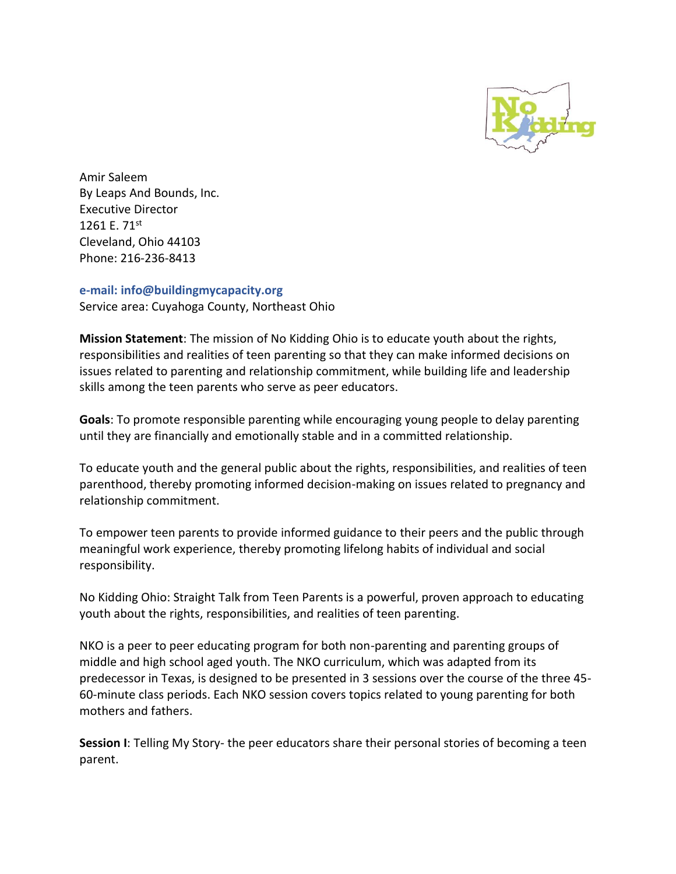

Amir Saleem By Leaps And Bounds, Inc. Executive Director 1261 E. 71st Cleveland, Ohio 44103 Phone: 216-236-8413

## **e-mail: info@buildingmycapacity.org**

Service area: Cuyahoga County, Northeast Ohio

**Mission Statement**: The mission of No Kidding Ohio is to educate youth about the rights, responsibilities and realities of teen parenting so that they can make informed decisions on issues related to parenting and relationship commitment, while building life and leadership skills among the teen parents who serve as peer educators.

**Goals**: To promote responsible parenting while encouraging young people to delay parenting until they are financially and emotionally stable and in a committed relationship.

To educate youth and the general public about the rights, responsibilities, and realities of teen parenthood, thereby promoting informed decision-making on issues related to pregnancy and relationship commitment.

To empower teen parents to provide informed guidance to their peers and the public through meaningful work experience, thereby promoting lifelong habits of individual and social responsibility.

No Kidding Ohio: Straight Talk from Teen Parents is a powerful, proven approach to educating youth about the rights, responsibilities, and realities of teen parenting.

NKO is a peer to peer educating program for both non-parenting and parenting groups of middle and high school aged youth. The NKO curriculum, which was adapted from its predecessor in Texas, is designed to be presented in 3 sessions over the course of the three 45- 60-minute class periods. Each NKO session covers topics related to young parenting for both mothers and fathers.

**Session I**: Telling My Story- the peer educators share their personal stories of becoming a teen parent.